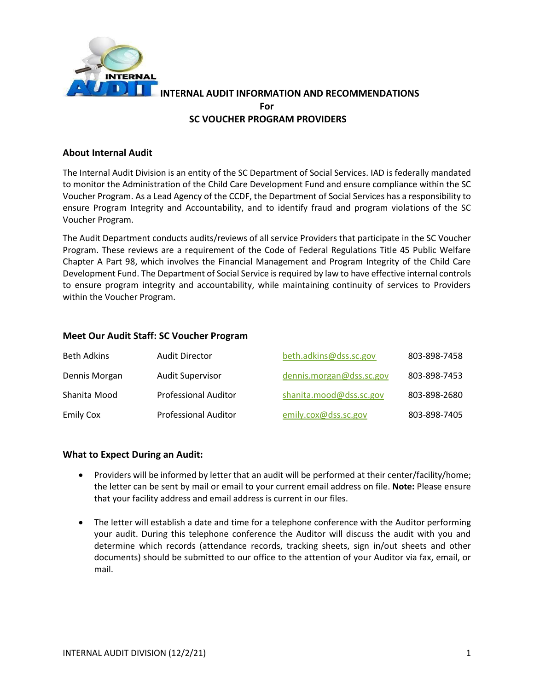

### **About Internal Audit**

The Internal Audit Division is an entity of the SC Department of Social Services. IAD is federally mandated to monitor the Administration of the Child Care Development Fund and ensure compliance within the SC Voucher Program. As a Lead Agency of the CCDF, the Department of Social Services has a responsibility to ensure Program Integrity and Accountability, and to identify fraud and program violations of the SC Voucher Program.

The Audit Department conducts audits/reviews of all service Providers that participate in the SC Voucher Program. These reviews are a requirement of the Code of Federal Regulations Title 45 Public Welfare Chapter A Part 98, which involves the Financial Management and Program Integrity of the Child Care Development Fund. The Department of Social Service is required by law to have effective internal controls to ensure program integrity and accountability, while maintaining continuity of services to Providers within the Voucher Program.

#### **Meet Our Audit Staff: SC Voucher Program**

| <b>Beth Adkins</b> | Audit Director              | beth.adkins@dss.sc.gov   | 803-898-7458 |
|--------------------|-----------------------------|--------------------------|--------------|
| Dennis Morgan      | <b>Audit Supervisor</b>     | dennis.morgan@dss.sc.gov | 803-898-7453 |
| Shanita Mood       | <b>Professional Auditor</b> | shanita.mood@dss.sc.gov  | 803-898-2680 |
| <b>Emily Cox</b>   | <b>Professional Auditor</b> | emily.cox@dss.sc.gov     | 803-898-7405 |

#### **What to Expect During an Audit:**

- Providers will be informed by letter that an audit will be performed at their center/facility/home; the letter can be sent by mail or email to your current email address on file. **Note:** Please ensure that your facility address and email address is current in our files.
- The letter will establish a date and time for a telephone conference with the Auditor performing your audit. During this telephone conference the Auditor will discuss the audit with you and determine which records (attendance records, tracking sheets, sign in/out sheets and other documents) should be submitted to our office to the attention of your Auditor via fax, email, or mail.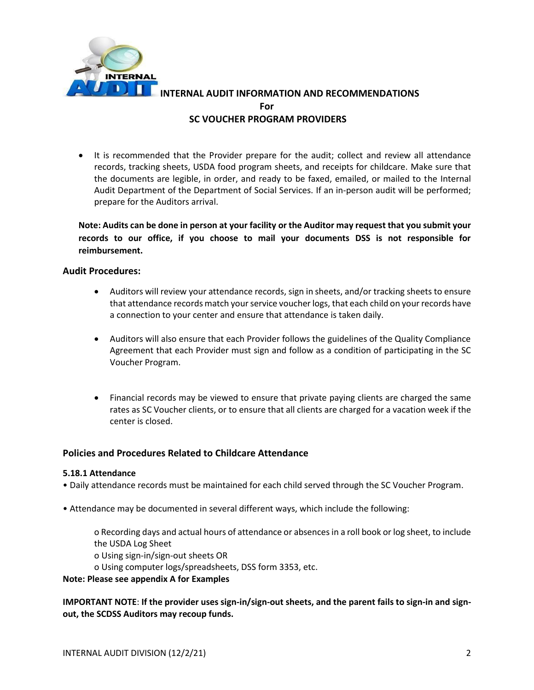

• It is recommended that the Provider prepare for the audit; collect and review all attendance records, tracking sheets, USDA food program sheets, and receipts for childcare. Make sure that the documents are legible, in order, and ready to be faxed, emailed, or mailed to the Internal Audit Department of the Department of Social Services. If an in-person audit will be performed; prepare for the Auditors arrival.

**Note: Audits can be done in person at your facility or the Auditor may request that you submit your records to our office, if you choose to mail your documents DSS is not responsible for reimbursement.** 

#### **Audit Procedures:**

- Auditors will review your attendance records, sign in sheets, and/or tracking sheets to ensure that attendance records match your service voucher logs, that each child on your records have a connection to your center and ensure that attendance is taken daily.
- Auditors will also ensure that each Provider follows the guidelines of the Quality Compliance Agreement that each Provider must sign and follow as a condition of participating in the SC Voucher Program.
- Financial records may be viewed to ensure that private paying clients are charged the same rates as SC Voucher clients, or to ensure that all clients are charged for a vacation week if the center is closed.

#### **Policies and Procedures Related to Childcare Attendance**

#### **5.18.1 Attendance**

- Daily attendance records must be maintained for each child served through the SC Voucher Program.
- Attendance may be documented in several different ways, which include the following:

o Recording days and actual hours of attendance or absences in a roll book or log sheet, to include the USDA Log Sheet o Using sign-in/sign-out sheets OR

o Using computer logs/spreadsheets, DSS form 3353, etc.

**Note: Please see appendix A for Examples**

**IMPORTANT NOTE**: **If the provider uses sign-in/sign-out sheets, and the parent fails to sign-in and signout, the SCDSS Auditors may recoup funds.**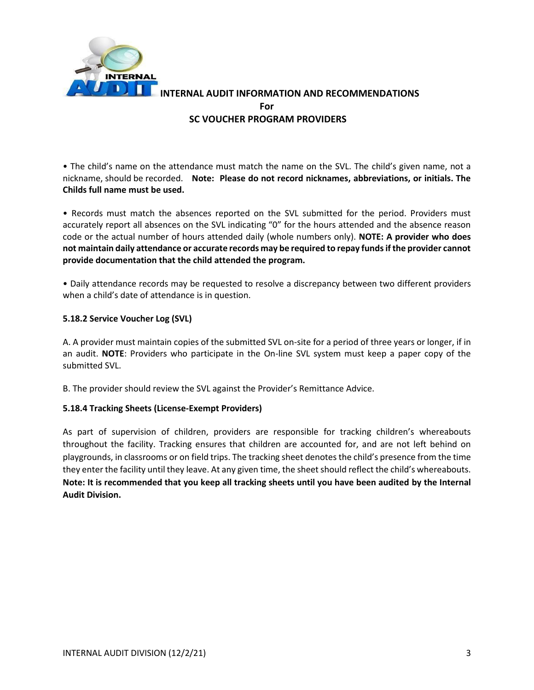

• The child's name on the attendance must match the name on the SVL. The child's given name, not a nickname, should be recorded. **Note: Please do not record nicknames, abbreviations, or initials. The Childs full name must be used.**

• Records must match the absences reported on the SVL submitted for the period. Providers must accurately report all absences on the SVL indicating "0" for the hours attended and the absence reason code or the actual number of hours attended daily (whole numbers only). **NOTE: A provider who does not maintain daily attendance or accurate records may be required to repay funds if the provider cannot provide documentation that the child attended the program.**

• Daily attendance records may be requested to resolve a discrepancy between two different providers when a child's date of attendance is in question.

#### **5.18.2 Service Voucher Log (SVL)**

A. A provider must maintain copies of the submitted SVL on-site for a period of three years or longer, if in an audit. **NOTE**: Providers who participate in the On-line SVL system must keep a paper copy of the submitted SVL.

B. The provider should review the SVL against the Provider's Remittance Advice.

#### **5.18.4 Tracking Sheets (License-Exempt Providers)**

As part of supervision of children, providers are responsible for tracking children's whereabouts throughout the facility. Tracking ensures that children are accounted for, and are not left behind on playgrounds, in classrooms or on field trips. The tracking sheet denotes the child's presence from the time they enter the facility until they leave. At any given time, the sheet should reflect the child's whereabouts. **Note: It is recommended that you keep all tracking sheets until you have been audited by the Internal Audit Division.**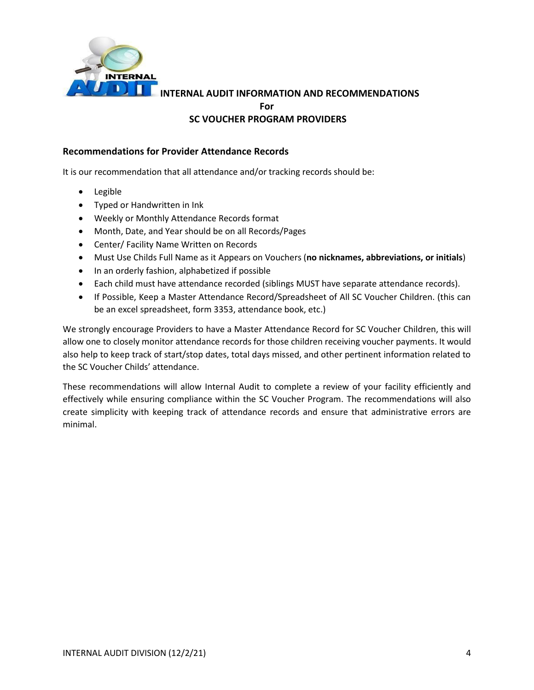

## **Recommendations for Provider Attendance Records**

It is our recommendation that all attendance and/or tracking records should be:

- Legible
- Typed or Handwritten in Ink
- Weekly or Monthly Attendance Records format
- Month, Date, and Year should be on all Records/Pages
- Center/ Facility Name Written on Records
- Must Use Childs Full Name as it Appears on Vouchers (**no nicknames, abbreviations, or initials**)
- In an orderly fashion, alphabetized if possible
- Each child must have attendance recorded (siblings MUST have separate attendance records).
- If Possible, Keep a Master Attendance Record/Spreadsheet of All SC Voucher Children. (this can be an excel spreadsheet, form 3353, attendance book, etc.)

We strongly encourage Providers to have a Master Attendance Record for SC Voucher Children, this will allow one to closely monitor attendance records for those children receiving voucher payments. It would also help to keep track of start/stop dates, total days missed, and other pertinent information related to the SC Voucher Childs' attendance.

These recommendations will allow Internal Audit to complete a review of your facility efficiently and effectively while ensuring compliance within the SC Voucher Program. The recommendations will also create simplicity with keeping track of attendance records and ensure that administrative errors are minimal.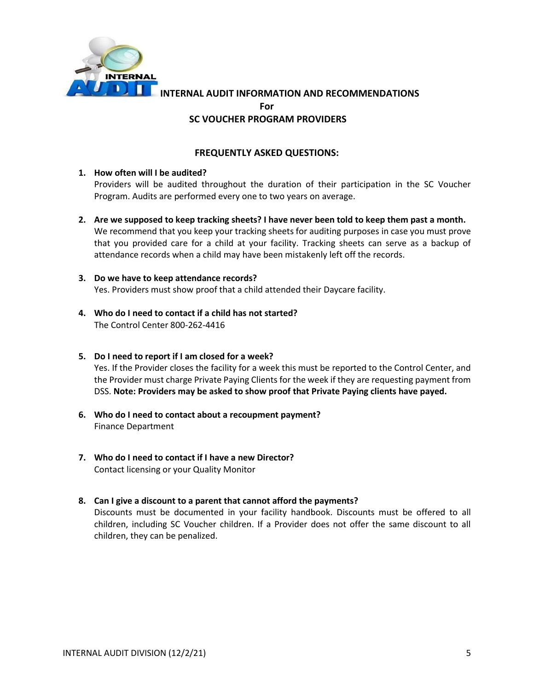

**INTERNAL AUDIT INFORMATION AND RECOMMENDATIONS**

**For**

#### **SC VOUCHER PROGRAM PROVIDERS**

### **FREQUENTLY ASKED QUESTIONS:**

#### **1. How often will I be audited?**

Providers will be audited throughout the duration of their participation in the SC Voucher Program. Audits are performed every one to two years on average.

**2. Are we supposed to keep tracking sheets? I have never been told to keep them past a month.** We recommend that you keep your tracking sheets for auditing purposes in case you must prove

that you provided care for a child at your facility. Tracking sheets can serve as a backup of attendance records when a child may have been mistakenly left off the records.

- **3. Do we have to keep attendance records?** Yes. Providers must show proof that a child attended their Daycare facility.
- **4. Who do I need to contact if a child has not started?** The Control Center 800-262-4416

#### **5. Do I need to report if I am closed for a week?**

Yes. If the Provider closes the facility for a week this must be reported to the Control Center, and the Provider must charge Private Paying Clients for the week if they are requesting payment from DSS. **Note: Providers may be asked to show proof that Private Paying clients have payed.**

- **6. Who do I need to contact about a recoupment payment?** Finance Department
- **7. Who do I need to contact if I have a new Director?**  Contact licensing or your Quality Monitor

#### **8. Can I give a discount to a parent that cannot afford the payments?**

Discounts must be documented in your facility handbook. Discounts must be offered to all children, including SC Voucher children. If a Provider does not offer the same discount to all children, they can be penalized.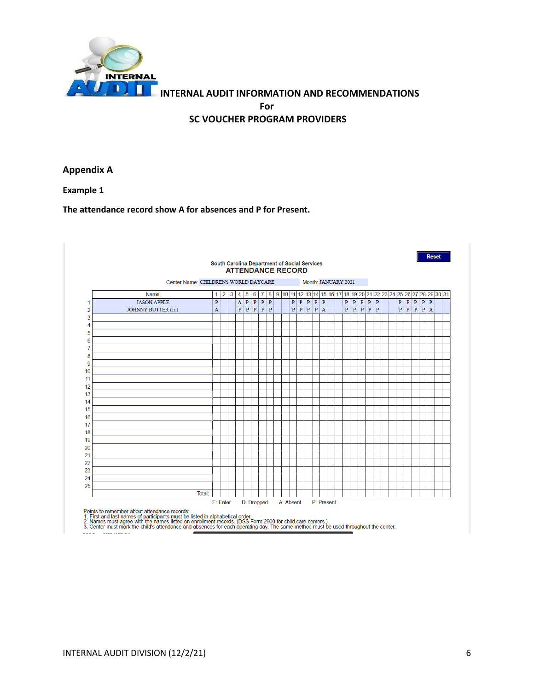

**Appendix A**

**Example 1**

#### **The attendance record show A for absences and P for Present.**

|                | Center Name: CHILDRENS WORLD DAYCARE |              |                |   |                |              |              |              |                |  |             |              |              |              |                | Month: JANUARY 2021 |              |              |              |                              |                                                 |              |              |              |         |  |
|----------------|--------------------------------------|--------------|----------------|---|----------------|--------------|--------------|--------------|----------------|--|-------------|--------------|--------------|--------------|----------------|---------------------|--------------|--------------|--------------|------------------------------|-------------------------------------------------|--------------|--------------|--------------|---------|--|
|                | Name                                 | 1            | $\overline{2}$ | 3 | $\overline{4}$ | 5            | 6            | 7            | 8 <sup>1</sup> |  | 9   10   11 | 12           | 13           | 14           | 15             |                     |              |              |              |                              | 16 17 18 19 20 21 22 23 24 25 26 27 28 29 30 31 |              |              |              |         |  |
| 1              | <b>JASON APPLE</b>                   | $\, {\bf p}$ |                |   | A              | $\mathbf{P}$ | $\, {\bf p}$ | P            | $\, {\bf p}$   |  | P           | $P$ $P$      |              | $\mathbf{P}$ | P              |                     | $\mathbf{P}$ | $\mathbf{P}$ | $\, {\bf p}$ | $\mathbf{p} \mid \mathbf{p}$ |                                                 | $\, {\bf p}$ | $\, {\bf p}$ | $\, {\bf p}$ | $P$ $P$ |  |
| $\overline{2}$ | JOHNNY BUTTER (Jr.)                  | $\mathbf{A}$ |                |   | $\, {\bf p}$   | $\, {\bf p}$ | $\, {\bf p}$ | $\, {\bf p}$ | $\mathbf{P}$   |  | P           | $\, {\bf p}$ | $\mathbf{P}$ | P            | $\overline{A}$ |                     | P            | $\mathbf{P}$ | $\, {\bf p}$ | $P$ $P$                      |                                                 | $\mathbf{P}$ | $\, {\bf p}$ | $\, {\bf p}$ | P A     |  |
| 3              |                                      |              |                |   |                |              |              |              |                |  |             |              |              |              |                |                     |              |              |              |                              |                                                 |              |              |              |         |  |
| 4              |                                      |              |                |   |                |              |              |              |                |  |             |              |              |              |                |                     |              |              |              |                              |                                                 |              |              |              |         |  |
| 5              |                                      |              |                |   |                |              |              |              |                |  |             |              |              |              |                |                     |              |              |              |                              |                                                 |              |              |              |         |  |
| 6              |                                      |              |                |   |                |              |              |              |                |  |             |              |              |              |                |                     |              |              |              |                              |                                                 |              |              |              |         |  |
| 7              |                                      |              |                |   |                |              |              |              |                |  |             |              |              |              |                |                     |              |              |              |                              |                                                 |              |              |              |         |  |
| 8              |                                      |              |                |   |                |              |              |              |                |  |             |              |              |              |                |                     |              |              |              |                              |                                                 |              |              |              |         |  |
| 9              |                                      |              |                |   |                |              |              |              |                |  |             |              |              |              |                |                     |              |              |              |                              |                                                 |              |              |              |         |  |
| 10             |                                      |              |                |   |                |              |              |              |                |  |             |              |              |              |                |                     |              |              |              |                              |                                                 |              |              |              |         |  |
| 11             |                                      |              |                |   |                |              |              |              |                |  |             |              |              |              |                |                     |              |              |              |                              |                                                 |              |              |              |         |  |
| 12             |                                      |              |                |   |                |              |              |              |                |  |             |              |              |              |                |                     |              |              |              |                              |                                                 |              |              |              |         |  |
| 13             |                                      |              |                |   |                |              |              |              |                |  |             |              |              |              |                |                     |              |              |              |                              |                                                 |              |              |              |         |  |
| 14             |                                      |              |                |   |                |              |              |              |                |  |             |              |              |              |                |                     |              |              |              |                              |                                                 |              |              |              |         |  |
| 15             |                                      |              |                |   |                |              |              |              |                |  |             |              |              |              |                |                     |              |              |              |                              |                                                 |              |              |              |         |  |
| 16             |                                      |              |                |   |                |              |              |              |                |  |             |              |              |              |                |                     |              |              |              |                              |                                                 |              |              |              |         |  |
| 17             |                                      |              |                |   |                |              |              |              |                |  |             |              |              |              |                |                     |              |              |              |                              |                                                 |              |              |              |         |  |
| 18             |                                      |              |                |   |                |              |              |              |                |  |             |              |              |              |                |                     |              |              |              |                              |                                                 |              |              |              |         |  |
| 19             |                                      |              |                |   |                |              |              |              |                |  |             |              |              |              |                |                     |              |              |              |                              |                                                 |              |              |              |         |  |
| 20             |                                      |              |                |   |                |              |              |              |                |  |             |              |              |              |                |                     |              |              |              |                              |                                                 |              |              |              |         |  |
| 21             |                                      |              |                |   |                |              |              |              |                |  |             |              |              |              |                |                     |              |              |              |                              |                                                 |              |              |              |         |  |
| 22             |                                      |              |                |   |                |              |              |              |                |  |             |              |              |              |                |                     |              |              |              |                              |                                                 |              |              |              |         |  |
| 23             |                                      |              |                |   |                |              |              |              |                |  |             |              |              |              |                |                     |              |              |              |                              |                                                 |              |              |              |         |  |

Points to remember about attendance records:<br>1. First and last names of participants must be listed in alphabetical order.<br>2. Names must agree with the names listed on enrollment records. (DSS Form 2900 for child care cent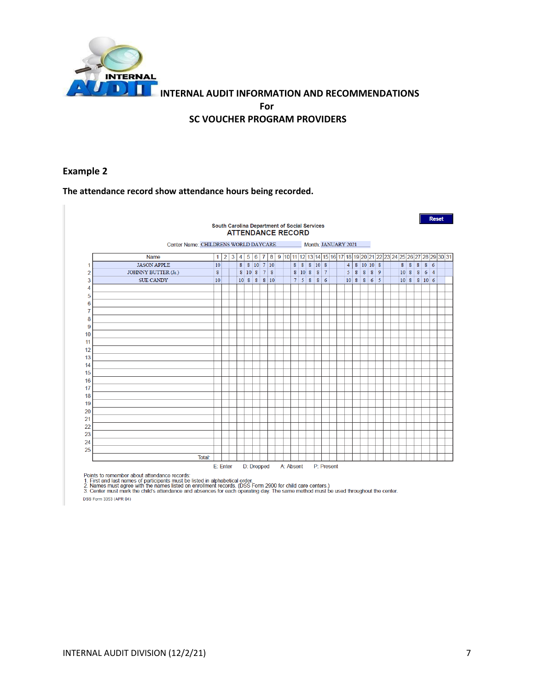

## **Example 2**

T.

#### **The attendance record show attendance hours being recorded.**

|                |                                      |             |                |   |                |                | <b>ATTENDANCE RECORD</b> |                |      |  |           |            |                  | South Carolina Department of Social Services |                     |  |                |                  |                |           |                |  |              |      |                  |            | <b>Reset</b> |                                                                        |
|----------------|--------------------------------------|-------------|----------------|---|----------------|----------------|--------------------------|----------------|------|--|-----------|------------|------------------|----------------------------------------------|---------------------|--|----------------|------------------|----------------|-----------|----------------|--|--------------|------|------------------|------------|--------------|------------------------------------------------------------------------|
|                | Center Name: CHILDRENS WORLD DAYCARE |             |                |   |                |                |                          |                |      |  |           |            |                  |                                              | Month: JANUARY 2021 |  |                |                  |                |           |                |  |              |      |                  |            |              |                                                                        |
|                | Name                                 | $\mathbf 1$ | $\overline{2}$ | 3 | $\overline{4}$ | $\overline{5}$ | $6 \mid$                 |                |      |  |           |            |                  |                                              |                     |  |                |                  |                |           |                |  |              |      |                  |            |              | 7 8 9 10 11 2 13 14 15 16 17 18 19 20 21 22 23 24 25 26 27 28 29 30 31 |
| 1              | <b>JASON APPLE</b>                   | 10          |                |   |                |                | $8$   $8$   10   7   10  |                |      |  |           | $8 \mid 8$ |                  | 8 10 8                                       |                     |  | $\overline{4}$ |                  |                | 8 10 10 8 |                |  | 8 8          |      | 8                | $8 \mid 6$ |              |                                                                        |
| $\overline{2}$ | JOHNNY BUTTER (Jr.)                  | $\bf 8$     |                |   |                | 8 10 8         |                          | 7 <sup>1</sup> | 8    |  | 8         | 10         | $\boldsymbol{8}$ | 8                                            | $7\phantom{.0}$     |  | 5              | $\boldsymbol{8}$ | $8\phantom{1}$ |           | 8 9            |  | $10 \vert 8$ |      | $\boldsymbol{8}$ | 6 4        |              |                                                                        |
| 3              | <b>SUE CANDY</b>                     | 10          |                |   |                |                | 1088                     |                | 8 10 |  |           | 7 5        | 8                | 8                                            | 6                   |  | $10 \vert 8$   |                  | 8              | 6         | $\overline{5}$ |  |              | 10 8 |                  | 8   10   6 |              |                                                                        |
| 4              |                                      |             |                |   |                |                |                          |                |      |  |           |            |                  |                                              |                     |  |                |                  |                |           |                |  |              |      |                  |            |              |                                                                        |
| 5              |                                      |             |                |   |                |                |                          |                |      |  |           |            |                  |                                              |                     |  |                |                  |                |           |                |  |              |      |                  |            |              |                                                                        |
| 6              |                                      |             |                |   |                |                |                          |                |      |  |           |            |                  |                                              |                     |  |                |                  |                |           |                |  |              |      |                  |            |              |                                                                        |
| 7              |                                      |             |                |   |                |                |                          |                |      |  |           |            |                  |                                              |                     |  |                |                  |                |           |                |  |              |      |                  |            |              |                                                                        |
| 8              |                                      |             |                |   |                |                |                          |                |      |  |           |            |                  |                                              |                     |  |                |                  |                |           |                |  |              |      |                  |            |              |                                                                        |
| 9              |                                      |             |                |   |                |                |                          |                |      |  |           |            |                  |                                              |                     |  |                |                  |                |           |                |  |              |      |                  |            |              |                                                                        |
| 10             |                                      |             |                |   |                |                |                          |                |      |  |           |            |                  |                                              |                     |  |                |                  |                |           |                |  |              |      |                  |            |              |                                                                        |
| 11             |                                      |             |                |   |                |                |                          |                |      |  |           |            |                  |                                              |                     |  |                |                  |                |           |                |  |              |      |                  |            |              |                                                                        |
| 12             |                                      |             |                |   |                |                |                          |                |      |  |           |            |                  |                                              |                     |  |                |                  |                |           |                |  |              |      |                  |            |              |                                                                        |
| 13             |                                      |             |                |   |                |                |                          |                |      |  |           |            |                  |                                              |                     |  |                |                  |                |           |                |  |              |      |                  |            |              |                                                                        |
| 14             |                                      |             |                |   |                |                |                          |                |      |  |           |            |                  |                                              |                     |  |                |                  |                |           |                |  |              |      |                  |            |              |                                                                        |
| 15             |                                      |             |                |   |                |                |                          |                |      |  |           |            |                  |                                              |                     |  |                |                  |                |           |                |  |              |      |                  |            |              |                                                                        |
| 16             |                                      |             |                |   |                |                |                          |                |      |  |           |            |                  |                                              |                     |  |                |                  |                |           |                |  |              |      |                  |            |              |                                                                        |
| 17             |                                      |             |                |   |                |                |                          |                |      |  |           |            |                  |                                              |                     |  |                |                  |                |           |                |  |              |      |                  |            |              |                                                                        |
| 18             |                                      |             |                |   |                |                |                          |                |      |  |           |            |                  |                                              |                     |  |                |                  |                |           |                |  |              |      |                  |            |              |                                                                        |
| 19             |                                      |             |                |   |                |                |                          |                |      |  |           |            |                  |                                              |                     |  |                |                  |                |           |                |  |              |      |                  |            |              |                                                                        |
| 20             |                                      |             |                |   |                |                |                          |                |      |  |           |            |                  |                                              |                     |  |                |                  |                |           |                |  |              |      |                  |            |              |                                                                        |
| 21             |                                      |             |                |   |                |                |                          |                |      |  |           |            |                  |                                              |                     |  |                |                  |                |           |                |  |              |      |                  |            |              |                                                                        |
| 22             |                                      |             |                |   |                |                |                          |                |      |  |           |            |                  |                                              |                     |  |                |                  |                |           |                |  |              |      |                  |            |              |                                                                        |
| 23             |                                      |             |                |   |                |                |                          |                |      |  |           |            |                  |                                              |                     |  |                |                  |                |           |                |  |              |      |                  |            |              |                                                                        |
| 24             |                                      |             |                |   |                |                |                          |                |      |  |           |            |                  |                                              |                     |  |                |                  |                |           |                |  |              |      |                  |            |              |                                                                        |
| 25             |                                      |             |                |   |                |                |                          |                |      |  |           |            |                  |                                              |                     |  |                |                  |                |           |                |  |              |      |                  |            |              |                                                                        |
|                | Total:                               | E: Enter    |                |   |                |                | D: Dropped               |                |      |  | A: Absent |            |                  |                                              | P: Present          |  |                |                  |                |           |                |  |              |      |                  |            |              |                                                                        |

Points to remember about attendance records:<br>1. First and last names of participants must be listed in alphabetical order.<br>2. Names must agree with the names listed on enrollment records. (DSS Form 2900 for child care cent

DSS Form 3353 (APR 04)